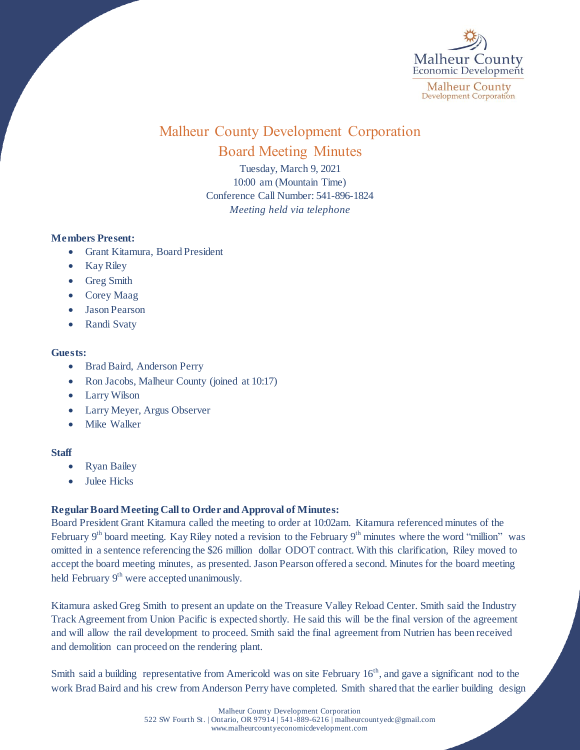

# Malheur County Development Corporation Board Meeting Minutes

Tuesday, March 9, 2021 10:00 am (Mountain Time) Conference Call Number: 541-896-1824 *Meeting held via telephone*

## **Members Present:**

- Grant Kitamura, Board President
- Kay Riley
- Greg Smith
- Corey Maag
- Jason Pearson
- Randi Svaty

### **Guests:**

- Brad Baird, Anderson Perry
- Ron Jacobs, Malheur County (joined at 10:17)
- Larry Wilson
- Larry Meyer, Argus Observer
- Mike Walker

### **Staff**

- Ryan Bailey
- Julee Hicks

### **Regular Board Meeting Call to Order and Approval of Minutes:**

Board President Grant Kitamura called the meeting to order at 10:02am. Kitamura referenced minutes of the February 9<sup>th</sup> board meeting. Kay Riley noted a revision to the February 9<sup>th</sup> minutes where the word "million" was omitted in a sentence referencing the \$26 million dollar ODOT contract. With this clarification, Riley moved to accept the board meeting minutes, as presented. Jason Pearson offered a second. Minutes for the board meeting held February 9<sup>th</sup> were accepted unanimously.

Kitamura asked Greg Smith to present an update on the Treasure Valley Reload Center. Smith said the Industry Track Agreement from Union Pacific is expected shortly. He said this will be the final version of the agreement and will allow the rail development to proceed. Smith said the final agreement from Nutrien has been received and demolition can proceed on the rendering plant.

Smith said a building representative from Americold was on site February 16<sup>th</sup>, and gave a significant nod to the work Brad Baird and his crew from Anderson Perry have completed. Smith shared that the earlier building design